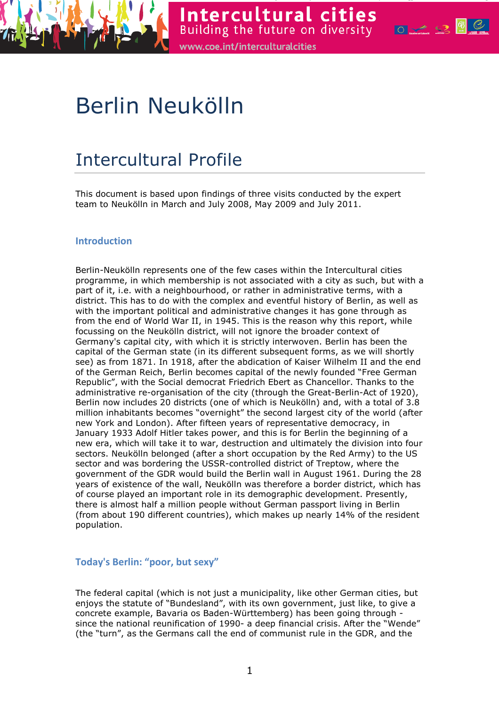

Intercultural cities Building the future on diversity **of the State of the State of the State of the State of State of State of State** www.coe.int/interculturalcities

# Berlin Neukölln

# Intercultural Profile

This document is based upon findings of three visits conducted by the expert team to Neukölln in March and July 2008, May 2009 and July 2011.

# **Introduction**

Berlin-Neukölln represents one of the few cases within the Intercultural cities programme, in which membership is not associated with a city as such, but with a part of it, i.e. with a neighbourhood, or rather in administrative terms, with a district. This has to do with the complex and eventful history of Berlin, as well as with the important political and administrative changes it has gone through as from the end of World War II, in 1945. This is the reason why this report, while focussing on the Neukölln district, will not ignore the broader context of Germany's capital city, with which it is strictly interwoven. Berlin has been the capital of the German state (in its different subsequent forms, as we will shortly see) as from 1871. In 1918, after the abdication of Kaiser Wilhelm II and the end of the German Reich, Berlin becomes capital of the newly founded "Free German Republic", with the Social democrat Friedrich Ebert as Chancellor. Thanks to the administrative re-organisation of the city (through the Great-Berlin-Act of 1920), Berlin now includes 20 districts (one of which is Neukölln) and, with a total of 3.8 million inhabitants becomes "overnight" the second largest city of the world (after new York and London). After fifteen years of representative democracy, in January 1933 Adolf Hitler takes power, and this is for Berlin the beginning of a new era, which will take it to war, destruction and ultimately the division into four sectors. Neukölln belonged (after a short occupation by the Red Army) to the US sector and was bordering the USSR-controlled district of Treptow, where the government of the GDR would build the Berlin wall in August 1961. During the 28 years of existence of the wall, Neukölln was therefore a border district, which has of course played an important role in its demographic development. Presently, there is almost half a million people without German passport living in Berlin (from about 190 different countries), which makes up nearly 14% of the resident population.

# Today's Berlin: "poor, but sexy"

The federal capital (which is not just a municipality, like other German cities, but enjoys the statute of "Bundesland", with its own government, just like, to give a concrete example, Bavaria os Baden-Württemberg) has been going through since the national reunification of 1990- a deep financial crisis. After the "Wende" (the "turn", as the Germans call the end of communist rule in the GDR, and the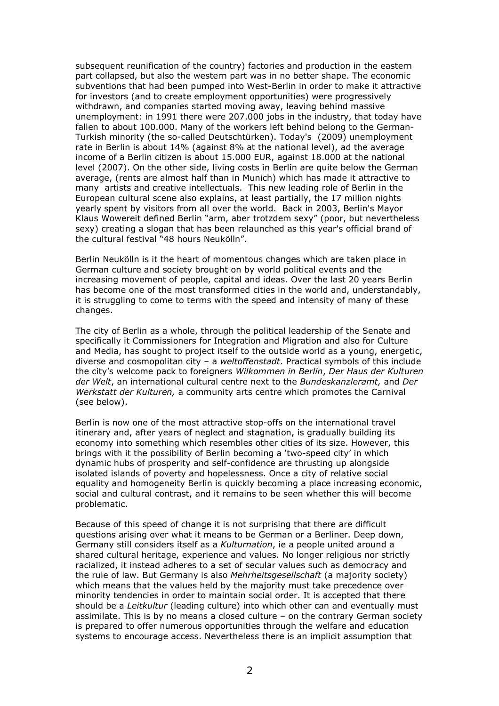subsequent reunification of the country) factories and production in the eastern part collapsed, but also the western part was in no better shape. The economic subventions that had been pumped into West-Berlin in order to make it attractive for investors (and to create employment opportunities) were progressively withdrawn, and companies started moving away, leaving behind massive unemployment: in 1991 there were 207.000 jobs in the industry, that today have fallen to about 100.000. Many of the workers left behind belong to the German-Turkish minority (the so-called Deutschtürken). Today's (2009) unemployment rate in Berlin is about 14% (against 8% at the national level), ad the average income of a Berlin citizen is about 15.000 EUR, against 18.000 at the national level (2007). On the other side, living costs in Berlin are quite below the German average, (rents are almost half than in Munich) which has made it attractive to many artists and creative intellectuals. This new leading role of Berlin in the European cultural scene also explains, at least partially, the 17 million nights yearly spent by visitors from all over the world. Back in 2003, Berlin's Mayor Klaus Wowereit defined Berlin "arm, aber trotzdem sexy" (poor, but nevertheless sexy) creating a slogan that has been relaunched as this year's official brand of the cultural festival "48 hours Neukölln".

Berlin Neukölln is it the heart of momentous changes which are taken place in German culture and society brought on by world political events and the increasing movement of people, capital and ideas. Over the last 20 years Berlin has become one of the most transformed cities in the world and, understandably, it is struggling to come to terms with the speed and intensity of many of these changes.

The city of Berlin as a whole, through the political leadership of the Senate and specifically it Commissioners for Integration and Migration and also for Culture and Media, has sought to project itself to the outside world as a young, energetic, diverse and cosmopolitan city – a weltoffenstadt. Practical symbols of this include the city's welcome pack to foreigners Wilkommen in Berlin, Der Haus der Kulturen der Welt, an international cultural centre next to the Bundeskanzleramt, and Der Werkstatt der Kulturen, a community arts centre which promotes the Carnival (see below).

Berlin is now one of the most attractive stop-offs on the international travel itinerary and, after years of neglect and stagnation, is gradually building its economy into something which resembles other cities of its size. However, this brings with it the possibility of Berlin becoming a 'two-speed city' in which dynamic hubs of prosperity and self-confidence are thrusting up alongside isolated islands of poverty and hopelessness. Once a city of relative social equality and homogeneity Berlin is quickly becoming a place increasing economic, social and cultural contrast, and it remains to be seen whether this will become problematic.

Because of this speed of change it is not surprising that there are difficult questions arising over what it means to be German or a Berliner. Deep down, Germany still considers itself as a Kulturnation, ie a people united around a shared cultural heritage, experience and values. No longer religious nor strictly racialized, it instead adheres to a set of secular values such as democracy and the rule of law. But Germany is also Mehrheitsgesellschaft (a majority society) which means that the values held by the majority must take precedence over minority tendencies in order to maintain social order. It is accepted that there should be a Leitkultur (leading culture) into which other can and eventually must assimilate. This is by no means a closed culture – on the contrary German society is prepared to offer numerous opportunities through the welfare and education systems to encourage access. Nevertheless there is an implicit assumption that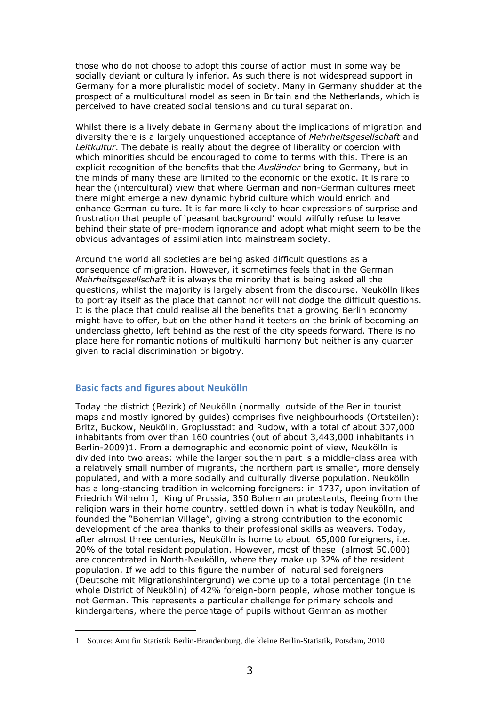those who do not choose to adopt this course of action must in some way be socially deviant or culturally inferior. As such there is not widespread support in Germany for a more pluralistic model of society. Many in Germany shudder at the prospect of a multicultural model as seen in Britain and the Netherlands, which is perceived to have created social tensions and cultural separation.

Whilst there is a lively debate in Germany about the implications of migration and diversity there is a largely unquestioned acceptance of Mehrheitsgesellschaft and Leitkultur. The debate is really about the degree of liberality or coercion with which minorities should be encouraged to come to terms with this. There is an explicit recognition of the benefits that the Ausländer bring to Germany, but in the minds of many these are limited to the economic or the exotic. It is rare to hear the (intercultural) view that where German and non-German cultures meet there might emerge a new dynamic hybrid culture which would enrich and enhance German culture. It is far more likely to hear expressions of surprise and frustration that people of 'peasant background' would wilfully refuse to leave behind their state of pre-modern ignorance and adopt what might seem to be the obvious advantages of assimilation into mainstream society.

Around the world all societies are being asked difficult questions as a consequence of migration. However, it sometimes feels that in the German Mehrheitsgesellschaft it is always the minority that is being asked all the questions, whilst the majority is largely absent from the discourse. Neukölln likes to portray itself as the place that cannot nor will not dodge the difficult questions. It is the place that could realise all the benefits that a growing Berlin economy might have to offer, but on the other hand it teeters on the brink of becoming an underclass ghetto, left behind as the rest of the city speeds forward. There is no place here for romantic notions of multikulti harmony but neither is any quarter given to racial discrimination or bigotry.

# Basic facts and figures about Neukölln

 $\overline{a}$ 

Today the district (Bezirk) of Neukölln (normally outside of the Berlin tourist maps and mostly ignored by guides) comprises five neighbourhoods (Ortsteilen): Britz, Buckow, Neukölln, Gropiusstadt and Rudow, with a total of about 307,000 inhabitants from over than 160 countries (out of about 3,443,000 inhabitants in Berlin-2009)1. From a demographic and economic point of view, Neukölln is divided into two areas: while the larger southern part is a middle-class area with a relatively small number of migrants, the northern part is smaller, more densely populated, and with a more socially and culturally diverse population. Neukölln has a long-standing tradition in welcoming foreigners: in 1737, upon invitation of Friedrich Wilhelm I, King of Prussia, 350 Bohemian protestants, fleeing from the religion wars in their home country, settled down in what is today Neukölln, and founded the "Bohemian Village", giving a strong contribution to the economic development of the area thanks to their professional skills as weavers. Today, after almost three centuries, Neukölln is home to about 65,000 foreigners, i.e. 20% of the total resident population. However, most of these (almost 50.000) are concentrated in North-Neukölln, where they make up 32% of the resident population. If we add to this figure the number of naturalised foreigners (Deutsche mit Migrationshintergrund) we come up to a total percentage (in the whole District of Neukölln) of 42% foreign-born people, whose mother tongue is not German. This represents a particular challenge for primary schools and kindergartens, where the percentage of pupils without German as mother

<sup>1</sup> Source: Amt für Statistik Berlin-Brandenburg, die kleine Berlin-Statistik, Potsdam, 2010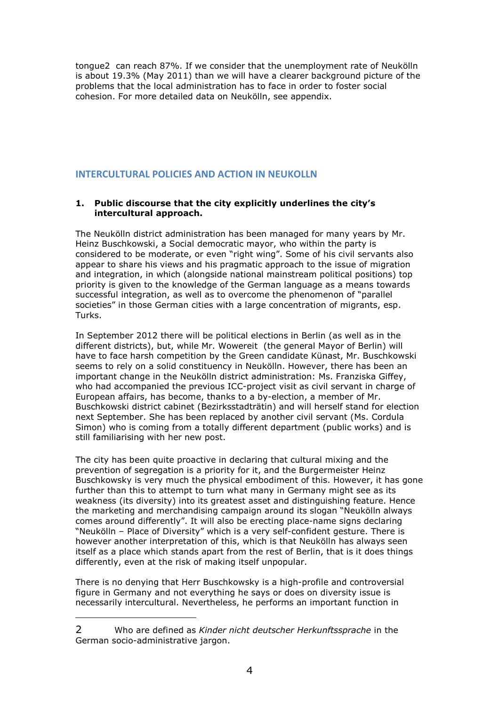tongue2 can reach 87%. If we consider that the unemployment rate of Neukölln is about 19.3% (May 2011) than we will have a clearer background picture of the problems that the local administration has to face in order to foster social cohesion. For more detailed data on Neukölln, see appendix.

# INTERCULTURAL POLICIES AND ACTION IN NEUKOLLN

#### 1. Public discourse that the city explicitly underlines the city's intercultural approach.

The Neukölln district administration has been managed for many years by Mr. Heinz Buschkowski, a Social democratic mayor, who within the party is considered to be moderate, or even "right wing". Some of his civil servants also appear to share his views and his pragmatic approach to the issue of migration and integration, in which (alongside national mainstream political positions) top priority is given to the knowledge of the German language as a means towards successful integration, as well as to overcome the phenomenon of "parallel societies" in those German cities with a large concentration of migrants, esp. Turks.

In September 2012 there will be political elections in Berlin (as well as in the different districts), but, while Mr. Wowereit (the general Mayor of Berlin) will have to face harsh competition by the Green candidate Künast, Mr. Buschkowski seems to rely on a solid constituency in Neukölln. However, there has been an important change in the Neukölln district administration: Ms. Franziska Giffey, who had accompanied the previous ICC-project visit as civil servant in charge of European affairs, has become, thanks to a by-election, a member of Mr. Buschkowski district cabinet (Bezirksstadträtin) and will herself stand for election next September. She has been replaced by another civil servant (Ms. Cordula Simon) who is coming from a totally different department (public works) and is still familiarising with her new post.

The city has been quite proactive in declaring that cultural mixing and the prevention of segregation is a priority for it, and the Burgermeister Heinz Buschkowsky is very much the physical embodiment of this. However, it has gone further than this to attempt to turn what many in Germany might see as its weakness (its diversity) into its greatest asset and distinguishing feature. Hence the marketing and merchandising campaign around its slogan "Neukölln always comes around differently". It will also be erecting place-name signs declaring "Neukölln – Place of Diversity" which is a very self-confident gesture. There is however another interpretation of this, which is that Neukölln has always seen itself as a place which stands apart from the rest of Berlin, that is it does things differently, even at the risk of making itself unpopular.

There is no denying that Herr Buschkowsky is a high-profile and controversial figure in Germany and not everything he says or does on diversity issue is necessarily intercultural. Nevertheless, he performs an important function in

<sup>2</sup> Who are defined as Kinder nicht deutscher Herkunftssprache in the German socio-administrative jargon.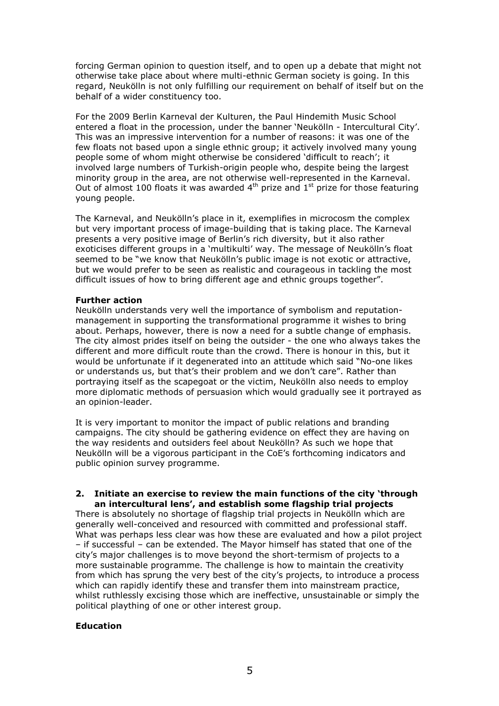forcing German opinion to question itself, and to open up a debate that might not otherwise take place about where multi-ethnic German society is going. In this regard, Neukölln is not only fulfilling our requirement on behalf of itself but on the behalf of a wider constituency too.

For the 2009 Berlin Karneval der Kulturen, the Paul Hindemith Music School entered a float in the procession, under the banner 'Neukölln - Intercultural City'. This was an impressive intervention for a number of reasons: it was one of the few floats not based upon a single ethnic group; it actively involved many young people some of whom might otherwise be considered 'difficult to reach'; it involved large numbers of Turkish-origin people who, despite being the largest minority group in the area, are not otherwise well-represented in the Karneval. Out of almost 100 floats it was awarded  $4<sup>th</sup>$  prize and  $1<sup>st</sup>$  prize for those featuring young people.

The Karneval, and Neukölln's place in it, exemplifies in microcosm the complex but very important process of image-building that is taking place. The Karneval presents a very positive image of Berlin's rich diversity, but it also rather exoticises different groups in a 'multikulti' way. The message of Neukölln's float seemed to be "we know that Neukölln's public image is not exotic or attractive, but we would prefer to be seen as realistic and courageous in tackling the most difficult issues of how to bring different age and ethnic groups together".

#### Further action

Neukölln understands very well the importance of symbolism and reputationmanagement in supporting the transformational programme it wishes to bring about. Perhaps, however, there is now a need for a subtle change of emphasis. The city almost prides itself on being the outsider - the one who always takes the different and more difficult route than the crowd. There is honour in this, but it would be unfortunate if it degenerated into an attitude which said "No-one likes or understands us, but that's their problem and we don't care". Rather than portraying itself as the scapegoat or the victim, Neukölln also needs to employ more diplomatic methods of persuasion which would gradually see it portrayed as an opinion-leader.

It is very important to monitor the impact of public relations and branding campaigns. The city should be gathering evidence on effect they are having on the way residents and outsiders feel about Neukölln? As such we hope that Neukölln will be a vigorous participant in the CoE's forthcoming indicators and public opinion survey programme.

#### 2. Initiate an exercise to review the main functions of the city 'through an intercultural lens', and establish some flagship trial projects

There is absolutely no shortage of flagship trial projects in Neukölln which are generally well-conceived and resourced with committed and professional staff. What was perhaps less clear was how these are evaluated and how a pilot project – if successful – can be extended. The Mayor himself has stated that one of the city's major challenges is to move beyond the short-termism of projects to a more sustainable programme. The challenge is how to maintain the creativity from which has sprung the very best of the city's projects, to introduce a process which can rapidly identify these and transfer them into mainstream practice, whilst ruthlessly excising those which are ineffective, unsustainable or simply the political plaything of one or other interest group.

# Education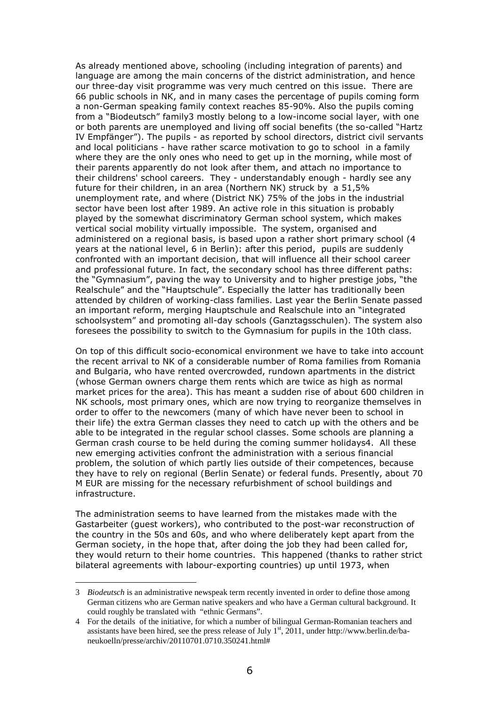As already mentioned above, schooling (including integration of parents) and language are among the main concerns of the district administration, and hence our three-day visit programme was very much centred on this issue. There are 66 public schools in NK, and in many cases the percentage of pupils coming form a non-German speaking family context reaches 85-90%. Also the pupils coming from a "Biodeutsch" family3 mostly belong to a low-income social layer, with one or both parents are unemployed and living off social benefits (the so-called "Hartz IV Empfänger"). The pupils - as reported by school directors, district civil servants and local politicians - have rather scarce motivation to go to school in a family where they are the only ones who need to get up in the morning, while most of their parents apparently do not look after them, and attach no importance to their childrens' school careers. They - understandably enough - hardly see any future for their children, in an area (Northern NK) struck by a 51,5% unemployment rate, and where (District NK) 75% of the jobs in the industrial sector have been lost after 1989. An active role in this situation is probably played by the somewhat discriminatory German school system, which makes vertical social mobility virtually impossible. The system, organised and administered on a regional basis, is based upon a rather short primary school (4 years at the national level, 6 in Berlin): after this period, pupils are suddenly confronted with an important decision, that will influence all their school career and professional future. In fact, the secondary school has three different paths: the "Gymnasium", paving the way to University and to higher prestige jobs, "the Realschule" and the "Hauptschule". Especially the latter has traditionally been attended by children of working-class families. Last year the Berlin Senate passed an important reform, merging Hauptschule and Realschule into an "integrated schoolsystem" and promoting all-day schools (Ganztagsschulen). The system also foresees the possibility to switch to the Gymnasium for pupils in the 10th class.

On top of this difficult socio-economical environment we have to take into account the recent arrival to NK of a considerable number of Roma families from Romania and Bulgaria, who have rented overcrowded, rundown apartments in the district (whose German owners charge them rents which are twice as high as normal market prices for the area). This has meant a sudden rise of about 600 children in NK schools, most primary ones, which are now trying to reorganize themselves in order to offer to the newcomers (many of which have never been to school in their life) the extra German classes they need to catch up with the others and be able to be integrated in the regular school classes. Some schools are planning a German crash course to be held during the coming summer holidays4. All these new emerging activities confront the administration with a serious financial problem, the solution of which partly lies outside of their competences, because they have to rely on regional (Berlin Senate) or federal funds. Presently, about 70 M EUR are missing for the necessary refurbishment of school buildings and infrastructure.

The administration seems to have learned from the mistakes made with the Gastarbeiter (guest workers), who contributed to the post-war reconstruction of the country in the 50s and 60s, and who where deliberately kept apart from the German society, in the hope that, after doing the job they had been called for, they would return to their home countries. This happened (thanks to rather strict bilateral agreements with labour-exporting countries) up until 1973, when

<sup>3</sup> *Biodeutsch* is an administrative newspeak term recently invented in order to define those among German citizens who are German native speakers and who have a German cultural background. It could roughly be translated with "ethnic Germans".

<sup>4</sup> For the details of the initiative, for which a number of bilingual German-Romanian teachers and assistants have been hired, see the press release of July  $1<sup>st</sup>$ , 2011, under http://www.berlin.de/baneukoelln/presse/archiv/20110701.0710.350241.html#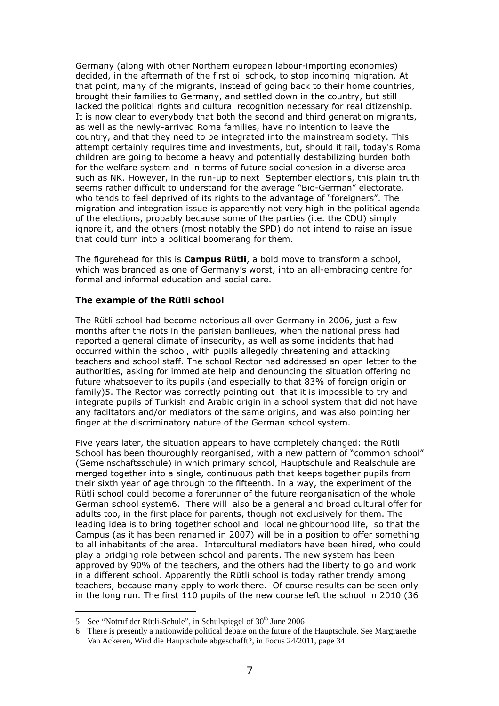Germany (along with other Northern european labour-importing economies) decided, in the aftermath of the first oil schock, to stop incoming migration. At that point, many of the migrants, instead of going back to their home countries, brought their families to Germany, and settled down in the country, but still lacked the political rights and cultural recognition necessary for real citizenship. It is now clear to everybody that both the second and third generation migrants, as well as the newly-arrived Roma families, have no intention to leave the country, and that they need to be integrated into the mainstream society. This attempt certainly requires time and investments, but, should it fail, today's Roma children are going to become a heavy and potentially destabilizing burden both for the welfare system and in terms of future social cohesion in a diverse area such as NK. However, in the run-up to next September elections, this plain truth seems rather difficult to understand for the average "Bio-German" electorate, who tends to feel deprived of its rights to the advantage of "foreigners". The migration and integration issue is apparently not very high in the political agenda of the elections, probably because some of the parties (i.e. the CDU) simply ignore it, and the others (most notably the SPD) do not intend to raise an issue that could turn into a political boomerang for them.

The figurehead for this is **Campus Rütli**, a bold move to transform a school, which was branded as one of Germany's worst, into an all-embracing centre for formal and informal education and social care.

#### The example of the Rütli school

The Rütli school had become notorious all over Germany in 2006, just a few months after the riots in the parisian banlieues, when the national press had reported a general climate of insecurity, as well as some incidents that had occurred within the school, with pupils allegedly threatening and attacking teachers and school staff. The school Rector had addressed an open letter to the authorities, asking for immediate help and denouncing the situation offering no future whatsoever to its pupils (and especially to that 83% of foreign origin or family)5. The Rector was correctly pointing out that it is impossible to try and integrate pupils of Turkish and Arabic origin in a school system that did not have any faciltators and/or mediators of the same origins, and was also pointing her finger at the discriminatory nature of the German school system.

Five years later, the situation appears to have completely changed: the Rütli School has been thouroughly reorganised, with a new pattern of "common school" (Gemeinschaftsschule) in which primary school, Hauptschule and Realschule are merged together into a single, continuous path that keeps together pupils from their sixth year of age through to the fifteenth. In a way, the experiment of the Rütli school could become a forerunner of the future reorganisation of the whole German school system6. There will also be a general and broad cultural offer for adults too, in the first place for parents, though not exclusively for them. The leading idea is to bring together school and local neighbourhood life, so that the Campus (as it has been renamed in 2007) will be in a position to offer something to all inhabitants of the area. Intercultural mediators have been hired, who could play a bridging role between school and parents. The new system has been approved by 90% of the teachers, and the others had the liberty to go and work in a different school. Apparently the Rütli school is today rather trendy among teachers, because many apply to work there. Of course results can be seen only in the long run. The first 110 pupils of the new course left the school in 2010 (36

<sup>5</sup> See "Notruf der Rütli-Schule", in Schulspiegel of  $30<sup>th</sup>$  June 2006

<sup>6</sup> There is presently a nationwide political debate on the future of the Hauptschule. See Margrarethe Van Ackeren, Wird die Hauptschule abgeschafft?, in Focus 24/2011, page 34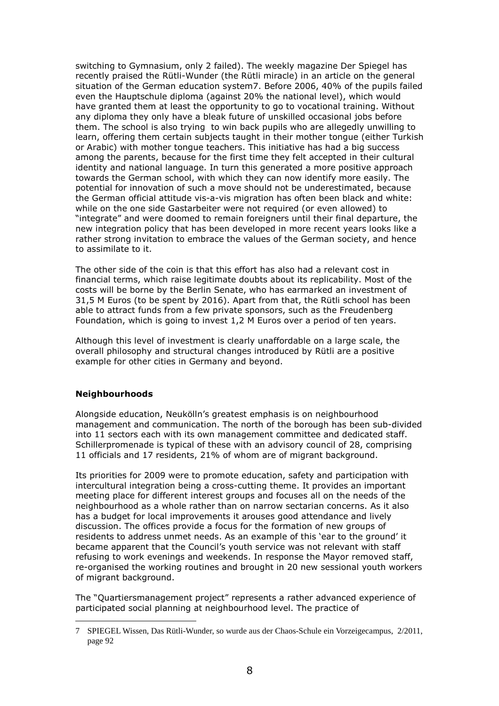switching to Gymnasium, only 2 failed). The weekly magazine Der Spiegel has recently praised the Rütli-Wunder (the Rütli miracle) in an article on the general situation of the German education system7. Before 2006, 40% of the pupils failed even the Hauptschule diploma (against 20% the national level), which would have granted them at least the opportunity to go to vocational training. Without any diploma they only have a bleak future of unskilled occasional jobs before them. The school is also trying to win back pupils who are allegedly unwilling to learn, offering them certain subjects taught in their mother tongue (either Turkish or Arabic) with mother tongue teachers. This initiative has had a big success among the parents, because for the first time they felt accepted in their cultural identity and national language. In turn this generated a more positive approach towards the German school, with which they can now identify more easily. The potential for innovation of such a move should not be underestimated, because the German official attitude vis-a-vis migration has often been black and white: while on the one side Gastarbeiter were not required (or even allowed) to "integrate" and were doomed to remain foreigners until their final departure, the new integration policy that has been developed in more recent years looks like a rather strong invitation to embrace the values of the German society, and hence to assimilate to it.

The other side of the coin is that this effort has also had a relevant cost in financial terms, which raise legitimate doubts about its replicability. Most of the costs will be borne by the Berlin Senate, who has earmarked an investment of 31,5 M Euros (to be spent by 2016). Apart from that, the Rütli school has been able to attract funds from a few private sponsors, such as the Freudenberg Foundation, which is going to invest 1,2 M Euros over a period of ten years.

Although this level of investment is clearly unaffordable on a large scale, the overall philosophy and structural changes introduced by Rütli are a positive example for other cities in Germany and beyond.

#### **Neighbourhoods**

 $\overline{a}$ 

Alongside education, Neukölln's greatest emphasis is on neighbourhood management and communication. The north of the borough has been sub-divided into 11 sectors each with its own management committee and dedicated staff. Schillerpromenade is typical of these with an advisory council of 28, comprising 11 officials and 17 residents, 21% of whom are of migrant background.

Its priorities for 2009 were to promote education, safety and participation with intercultural integration being a cross-cutting theme. It provides an important meeting place for different interest groups and focuses all on the needs of the neighbourhood as a whole rather than on narrow sectarian concerns. As it also has a budget for local improvements it arouses good attendance and lively discussion. The offices provide a focus for the formation of new groups of residents to address unmet needs. As an example of this 'ear to the ground' it became apparent that the Council's youth service was not relevant with staff refusing to work evenings and weekends. In response the Mayor removed staff, re-organised the working routines and brought in 20 new sessional youth workers of migrant background.

The "Quartiersmanagement project" represents a rather advanced experience of participated social planning at neighbourhood level. The practice of

<sup>7</sup> SPIEGEL Wissen, Das Rütli-Wunder, so wurde aus der Chaos-Schule ein Vorzeigecampus, 2/2011, page 92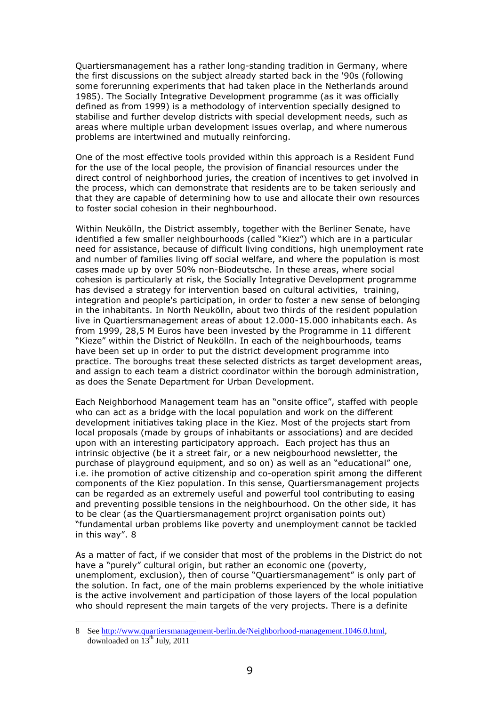Quartiersmanagement has a rather long-standing tradition in Germany, where the first discussions on the subject already started back in the '90s (following some forerunning experiments that had taken place in the Netherlands around 1985). The Socially Integrative Development programme (as it was officially defined as from 1999) is a methodology of intervention specially designed to stabilise and further develop districts with special development needs, such as areas where multiple urban development issues overlap, and where numerous problems are intertwined and mutually reinforcing.

One of the most effective tools provided within this approach is a Resident Fund for the use of the local people, the provision of financial resources under the direct control of neighborhood juries, the creation of incentives to get involved in the process, which can demonstrate that residents are to be taken seriously and that they are capable of determining how to use and allocate their own resources to foster social cohesion in their neghbourhood.

Within Neukölln, the District assembly, together with the Berliner Senate, have identified a few smaller neighbourhoods (called "Kiez") which are in a particular need for assistance, because of difficult living conditions, high unemployment rate and number of families living off social welfare, and where the population is most cases made up by over 50% non-Biodeutsche. In these areas, where social cohesion is particularly at risk, the Socially Integrative Development programme has devised a strategy for intervention based on cultural activities, training, integration and people's participation, in order to foster a new sense of belonging in the inhabitants. In North Neukölln, about two thirds of the resident population live in Quartiersmanagement areas of about 12.000-15.000 inhabitants each. As from 1999, 28,5 M Euros have been invested by the Programme in 11 different "Kieze" within the District of Neukölln. In each of the neighbourhoods, teams have been set up in order to put the district development programme into practice. The boroughs treat these selected districts as target development areas, and assign to each team a district coordinator within the borough administration, as does the Senate Department for Urban Development.

Each Neighborhood Management team has an "onsite office", staffed with people who can act as a bridge with the local population and work on the different development initiatives taking place in the Kiez. Most of the projects start from local proposals (made by groups of inhabitants or associations) and are decided upon with an interesting participatory approach. Each project has thus an intrinsic objective (be it a street fair, or a new neigbourhood newsletter, the purchase of playground equipment, and so on) as well as an "educational" one, i.e. ihe promotion of active citizenship and co-operation spirit among the different components of the Kiez population. In this sense, Quartiersmanagement projects can be regarded as an extremely useful and powerful tool contributing to easing and preventing possible tensions in the neighbourhood. On the other side, it has to be clear (as the Quartiersmanagement projrct organisation points out) "fundamental urban problems like poverty and unemployment cannot be tackled in this way". 8

As a matter of fact, if we consider that most of the problems in the District do not have a "purely" cultural origin, but rather an economic one (poverty, unemploment, exclusion), then of course "Quartiersmanagement" is only part of the solution. In fact, one of the main problems experienced by the whole initiative is the active involvement and participation of those layers of the local population who should represent the main targets of the very projects. There is a definite

<sup>8</sup> See http://www.quartiersmanagement-berlin.de/Neighborhood-management.1046.0.html, downloaded on  $13<sup>th</sup>$  July, 2011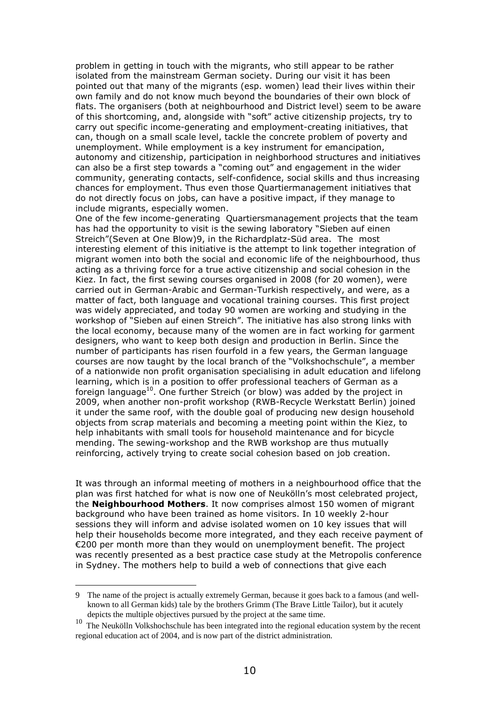problem in getting in touch with the migrants, who still appear to be rather isolated from the mainstream German society. During our visit it has been pointed out that many of the migrants (esp. women) lead their lives within their own family and do not know much beyond the boundaries of their own block of flats. The organisers (both at neighbourhood and District level) seem to be aware of this shortcoming, and, alongside with "soft" active citizenship projects, try to carry out specific income-generating and employment-creating initiatives, that can, though on a small scale level, tackle the concrete problem of poverty and unemployment. While employment is a key instrument for emancipation, autonomy and citizenship, participation in neighborhood structures and initiatives can also be a first step towards a "coming out" and engagement in the wider community, generating contacts, self-confidence, social skills and thus increasing chances for employment. Thus even those Quartiermanagement initiatives that do not directly focus on jobs, can have a positive impact, if they manage to include migrants, especially women.

One of the few income-generating Quartiersmanagement projects that the team has had the opportunity to visit is the sewing laboratory "Sieben auf einen Streich"(Seven at One Blow)9, in the Richardplatz-Süd area. The most interesting element of this initiative is the attempt to link together integration of migrant women into both the social and economic life of the neighbourhood, thus acting as a thriving force for a true active citizenship and social cohesion in the Kiez. In fact, the first sewing courses organised in 2008 (for 20 women), were carried out in German-Arabic and German-Turkish respectively, and were, as a matter of fact, both language and vocational training courses. This first project was widely appreciated, and today 90 women are working and studying in the workshop of "Sieben auf einen Streich". The initiative has also strong links with the local economy, because many of the women are in fact working for garment designers, who want to keep both design and production in Berlin. Since the number of participants has risen fourfold in a few years, the German language courses are now taught by the local branch of the "Volkshochschule", a member of a nationwide non profit organisation specialising in adult education and lifelong learning, which is in a position to offer professional teachers of German as a foreign language<sup>10</sup>. One further Streich (or blow) was added by the project in 2009, when another non-profit workshop (RWB-Recycle Werkstatt Berlin) joined it under the same roof, with the double goal of producing new design household objects from scrap materials and becoming a meeting point within the Kiez, to help inhabitants with small tools for household maintenance and for bicycle mending. The sewing-workshop and the RWB workshop are thus mutually reinforcing, actively trying to create social cohesion based on job creation.

It was through an informal meeting of mothers in a neighbourhood office that the plan was first hatched for what is now one of Neukölln's most celebrated project, the **Neighbourhood Mothers**. It now comprises almost 150 women of migrant background who have been trained as home visitors. In 10 weekly 2-hour sessions they will inform and advise isolated women on 10 key issues that will help their households become more integrated, and they each receive payment of €200 per month more than they would on unemployment benefit. The project was recently presented as a best practice case study at the Metropolis conference in Sydney. The mothers help to build a web of connections that give each

<sup>9</sup> The name of the project is actually extremely German, because it goes back to a famous (and wellknown to all German kids) tale by the brothers Grimm (The Brave Little Tailor), but it acutely depicts the multiple objectives pursued by the project at the same time.

<sup>&</sup>lt;sup>10</sup> The Neukölln Volkshochschule has been integrated into the regional education system by the recent regional education act of 2004, and is now part of the district administration.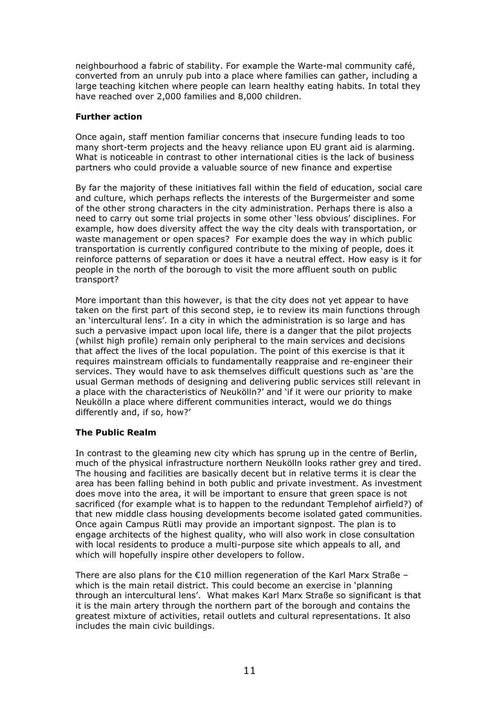neighbourhood a fabric of stability. For example the Warte-mal community café, converted from an unruly pub into a place where families can gather, including a large teaching kitchen where people can learn healthy eating habits. In total they have reached over 2,000 families and 8,000 children.

#### Further action

Once again, staff mention familiar concerns that insecure funding leads to too many short-term projects and the heavy reliance upon EU grant aid is alarming. What is noticeable in contrast to other international cities is the lack of business partners who could provide a valuable source of new finance and expertise

By far the majority of these initiatives fall within the field of education, social care and culture, which perhaps reflects the interests of the Burgermeister and some of the other strong characters in the city administration. Perhaps there is also a need to carry out some trial projects in some other 'less obvious' disciplines. For example, how does diversity affect the way the city deals with transportation, or waste management or open spaces? For example does the way in which public transportation is currently configured contribute to the mixing of people, does it reinforce patterns of separation or does it have a neutral effect. How easy is it for people in the north of the borough to visit the more affluent south on public transport?

More important than this however, is that the city does not yet appear to have taken on the first part of this second step, ie to review its main functions through an 'intercultural lens'. In a city in which the administration is so large and has such a pervasive impact upon local life, there is a danger that the pilot projects (whilst high profile) remain only peripheral to the main services and decisions that affect the lives of the local population. The point of this exercise is that it requires mainstream officials to fundamentally reappraise and re-engineer their services. They would have to ask themselves difficult questions such as 'are the usual German methods of designing and delivering public services still relevant in a place with the characteristics of Neukölln?' and 'if it were our priority to make Neukölln a place where different communities interact, would we do things differently and, if so, how?'

# The Public Realm

In contrast to the gleaming new city which has sprung up in the centre of Berlin, much of the physical infrastructure northern Neukölln looks rather grey and tired. The housing and facilities are basically decent but in relative terms it is clear the area has been falling behind in both public and private investment. As investment does move into the area, it will be important to ensure that green space is not sacrificed (for example what is to happen to the redundant Templehof airfield?) of that new middle class housing developments become isolated gated communities. Once again Campus Rütli may provide an important signpost. The plan is to engage architects of the highest quality, who will also work in close consultation with local residents to produce a multi-purpose site which appeals to all, and which will hopefully inspire other developers to follow.

There are also plans for the  $\epsilon$ 10 million regeneration of the Karl Marx Straße – which is the main retail district. This could become an exercise in 'planning through an intercultural lens'. What makes Karl Marx Straße so significant is that it is the main artery through the northern part of the borough and contains the greatest mixture of activities, retail outlets and cultural representations. It also includes the main civic buildings.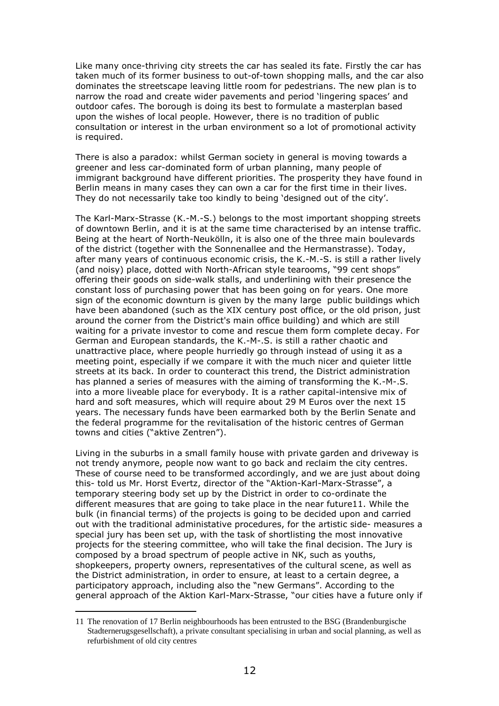Like many once-thriving city streets the car has sealed its fate. Firstly the car has taken much of its former business to out-of-town shopping malls, and the car also dominates the streetscape leaving little room for pedestrians. The new plan is to narrow the road and create wider pavements and period 'lingering spaces' and outdoor cafes. The borough is doing its best to formulate a masterplan based upon the wishes of local people. However, there is no tradition of public consultation or interest in the urban environment so a lot of promotional activity is required.

There is also a paradox: whilst German society in general is moving towards a greener and less car-dominated form of urban planning, many people of immigrant background have different priorities. The prosperity they have found in Berlin means in many cases they can own a car for the first time in their lives. They do not necessarily take too kindly to being 'designed out of the city'.

The Karl-Marx-Strasse (K.-M.-S.) belongs to the most important shopping streets of downtown Berlin, and it is at the same time characterised by an intense traffic. Being at the heart of North-Neukölln, it is also one of the three main boulevards of the district (together with the Sonnenallee and the Hermanstrasse). Today, after many years of continuous economic crisis, the K.-M.-S. is still a rather lively (and noisy) place, dotted with North-African style tearooms, "99 cent shops" offering their goods on side-walk stalls, and underlining with their presence the constant loss of purchasing power that has been going on for years. One more sign of the economic downturn is given by the many large public buildings which have been abandoned (such as the XIX century post office, or the old prison, just around the corner from the District's main office building) and which are still waiting for a private investor to come and rescue them form complete decay. For German and European standards, the K.-M-.S. is still a rather chaotic and unattractive place, where people hurriedly go through instead of using it as a meeting point, especially if we compare it with the much nicer and quieter little streets at its back. In order to counteract this trend, the District administration has planned a series of measures with the aiming of transforming the K.-M-.S. into a more liveable place for everybody. It is a rather capital-intensive mix of hard and soft measures, which will require about 29 M Euros over the next 15 years. The necessary funds have been earmarked both by the Berlin Senate and the federal programme for the revitalisation of the historic centres of German towns and cities ("aktive Zentren").

Living in the suburbs in a small family house with private garden and driveway is not trendy anymore, people now want to go back and reclaim the city centres. These of course need to be transformed accordingly, and we are just about doing this- told us Mr. Horst Evertz, director of the "Aktion-Karl-Marx-Strasse", a temporary steering body set up by the District in order to co-ordinate the different measures that are going to take place in the near future11. While the bulk (in financial terms) of the projects is going to be decided upon and carried out with the traditional administative procedures, for the artistic side- measures a special jury has been set up, with the task of shortlisting the most innovative projects for the steering committee, who will take the final decision. The Jury is composed by a broad spectrum of people active in NK, such as youths, shopkeepers, property owners, representatives of the cultural scene, as well as the District administration, in order to ensure, at least to a certain degree, a participatory approach, including also the "new Germans". According to the general approach of the Aktion Karl-Marx-Strasse, "our cities have a future only if

<sup>11</sup> The renovation of 17 Berlin neighbourhoods has been entrusted to the BSG (Brandenburgische Stadternerugsgesellschaft), a private consultant specialising in urban and social planning, as well as refurbishment of old city centres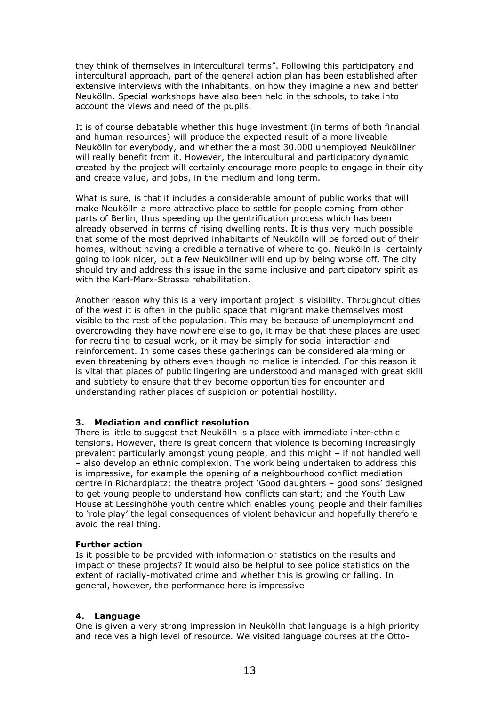they think of themselves in intercultural terms". Following this participatory and intercultural approach, part of the general action plan has been established after extensive interviews with the inhabitants, on how they imagine a new and better Neukölln. Special workshops have also been held in the schools, to take into account the views and need of the pupils.

It is of course debatable whether this huge investment (in terms of both financial and human resources) will produce the expected result of a more liveable Neukölln for everybody, and whether the almost 30.000 unemployed Neuköllner will really benefit from it. However, the intercultural and participatory dynamic created by the project will certainly encourage more people to engage in their city and create value, and jobs, in the medium and long term.

What is sure, is that it includes a considerable amount of public works that will make Neukölln a more attractive place to settle for people coming from other parts of Berlin, thus speeding up the gentrification process which has been already observed in terms of rising dwelling rents. It is thus very much possible that some of the most deprived inhabitants of Neukölln will be forced out of their homes, without having a credible alternative of where to go. Neukölln is certainly going to look nicer, but a few Neuköllner will end up by being worse off. The city should try and address this issue in the same inclusive and participatory spirit as with the Karl-Marx-Strasse rehabilitation.

Another reason why this is a very important project is visibility. Throughout cities of the west it is often in the public space that migrant make themselves most visible to the rest of the population. This may be because of unemployment and overcrowding they have nowhere else to go, it may be that these places are used for recruiting to casual work, or it may be simply for social interaction and reinforcement. In some cases these gatherings can be considered alarming or even threatening by others even though no malice is intended. For this reason it is vital that places of public lingering are understood and managed with great skill and subtlety to ensure that they become opportunities for encounter and understanding rather places of suspicion or potential hostility.

# 3. Mediation and conflict resolution

There is little to suggest that Neukölln is a place with immediate inter-ethnic tensions. However, there is great concern that violence is becoming increasingly prevalent particularly amongst young people, and this might – if not handled well – also develop an ethnic complexion. The work being undertaken to address this is impressive, for example the opening of a neighbourhood conflict mediation centre in Richardplatz; the theatre project 'Good daughters – good sons' designed to get young people to understand how conflicts can start; and the Youth Law House at Lessinghöhe youth centre which enables young people and their families to 'role play' the legal consequences of violent behaviour and hopefully therefore avoid the real thing.

#### Further action

Is it possible to be provided with information or statistics on the results and impact of these projects? It would also be helpful to see police statistics on the extent of racially-motivated crime and whether this is growing or falling. In general, however, the performance here is impressive

# 4. Language

One is given a very strong impression in Neukölln that language is a high priority and receives a high level of resource. We visited language courses at the Otto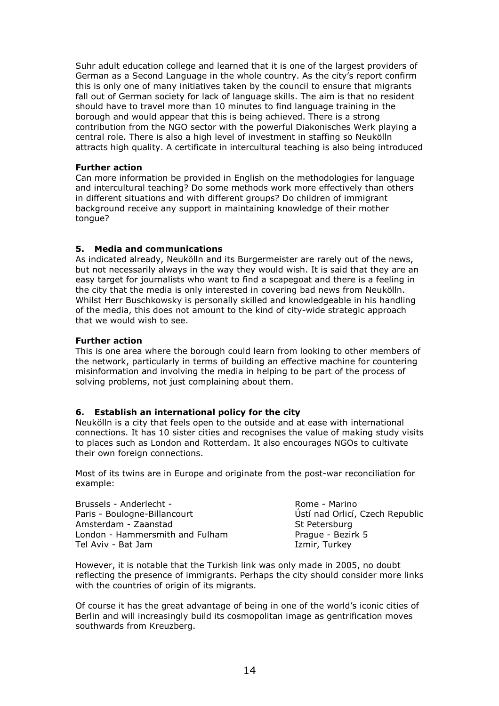Suhr adult education college and learned that it is one of the largest providers of German as a Second Language in the whole country. As the city's report confirm this is only one of many initiatives taken by the council to ensure that migrants fall out of German society for lack of language skills. The aim is that no resident should have to travel more than 10 minutes to find language training in the borough and would appear that this is being achieved. There is a strong contribution from the NGO sector with the powerful Diakonisches Werk playing a central role. There is also a high level of investment in staffing so Neukölln attracts high quality. A certificate in intercultural teaching is also being introduced

#### Further action

Can more information be provided in English on the methodologies for language and intercultural teaching? Do some methods work more effectively than others in different situations and with different groups? Do children of immigrant background receive any support in maintaining knowledge of their mother tongue?

# 5. Media and communications

As indicated already, Neukölln and its Burgermeister are rarely out of the news, but not necessarily always in the way they would wish. It is said that they are an easy target for journalists who want to find a scapegoat and there is a feeling in the city that the media is only interested in covering bad news from Neukölln. Whilst Herr Buschkowsky is personally skilled and knowledgeable in his handling of the media, this does not amount to the kind of city-wide strategic approach that we would wish to see.

#### Further action

This is one area where the borough could learn from looking to other members of the network, particularly in terms of building an effective machine for countering misinformation and involving the media in helping to be part of the process of solving problems, not just complaining about them.

#### 6. Establish an international policy for the city

Neukölln is a city that feels open to the outside and at ease with international connections. It has 10 sister cities and recognises the value of making study visits to places such as London and Rotterdam. It also encourages NGOs to cultivate their own foreign connections.

Most of its twins are in Europe and originate from the post-war reconciliation for example:

Brussels - Anderlecht - Paris - Boulogne-Billancourt Amsterdam - Zaanstad London - Hammersmith and Fulham Tel Aviv - Bat Jam

Rome - Marino Ústí nad Orlicí, Czech Republic St Petersburg Prague - Bezirk 5 Izmir, Turkey

However, it is notable that the Turkish link was only made in 2005, no doubt reflecting the presence of immigrants. Perhaps the city should consider more links with the countries of origin of its migrants.

Of course it has the great advantage of being in one of the world's iconic cities of Berlin and will increasingly build its cosmopolitan image as gentrification moves southwards from Kreuzberg.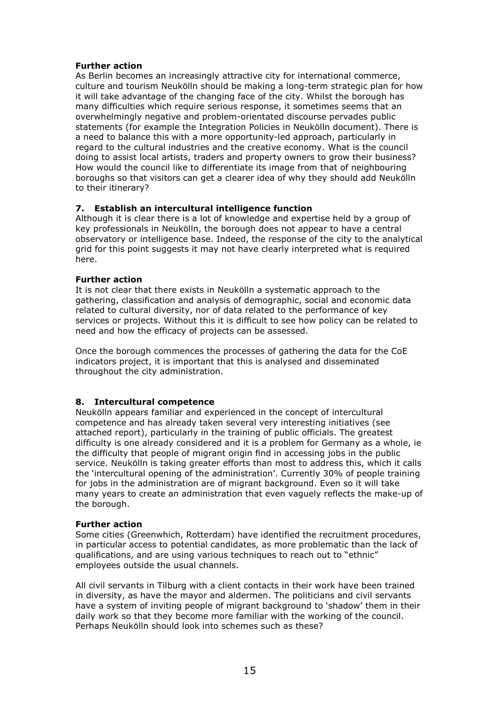#### Further action

As Berlin becomes an increasingly attractive city for international commerce, culture and tourism Neukölln should be making a long-term strategic plan for how it will take advantage of the changing face of the city. Whilst the borough has many difficulties which require serious response, it sometimes seems that an overwhelmingly negative and problem-orientated discourse pervades public statements (for example the Integration Policies in Neukölln document). There is a need to balance this with a more opportunity-led approach, particularly in regard to the cultural industries and the creative economy. What is the council doing to assist local artists, traders and property owners to grow their business? How would the council like to differentiate its image from that of neighbouring boroughs so that visitors can get a clearer idea of why they should add Neukölln to their itinerary?

# 7. Establish an intercultural intelligence function

Although it is clear there is a lot of knowledge and expertise held by a group of key professionals in Neukölln, the borough does not appear to have a central observatory or intelligence base. Indeed, the response of the city to the analytical grid for this point suggests it may not have clearly interpreted what is required here.

#### Further action

It is not clear that there exists in Neukölln a systematic approach to the gathering, classification and analysis of demographic, social and economic data related to cultural diversity, nor of data related to the performance of key services or projects. Without this it is difficult to see how policy can be related to need and how the efficacy of projects can be assessed.

Once the borough commences the processes of gathering the data for the CoE indicators project, it is important that this is analysed and disseminated throughout the city administration.

# 8. Intercultural competence

Neukölln appears familiar and experienced in the concept of intercultural competence and has already taken several very interesting initiatives (see attached report), particularly in the training of public officials. The greatest difficulty is one already considered and it is a problem for Germany as a whole, ie the difficulty that people of migrant origin find in accessing jobs in the public service. Neukölln is taking greater efforts than most to address this, which it calls the 'intercultural opening of the administration'. Currently 30% of people training for jobs in the administration are of migrant background. Even so it will take many years to create an administration that even vaguely reflects the make-up of the borough.

#### Further action

Some cities (Greenwhich, Rotterdam) have identified the recruitment procedures, in particular access to potential candidates, as more problematic than the lack of qualifications, and are using various techniques to reach out to "ethnic" employees outside the usual channels.

All civil servants in Tilburg with a client contacts in their work have been trained in diversity, as have the mayor and aldermen. The politicians and civil servants have a system of inviting people of migrant background to 'shadow' them in their daily work so that they become more familiar with the working of the council. Perhaps Neukölln should look into schemes such as these?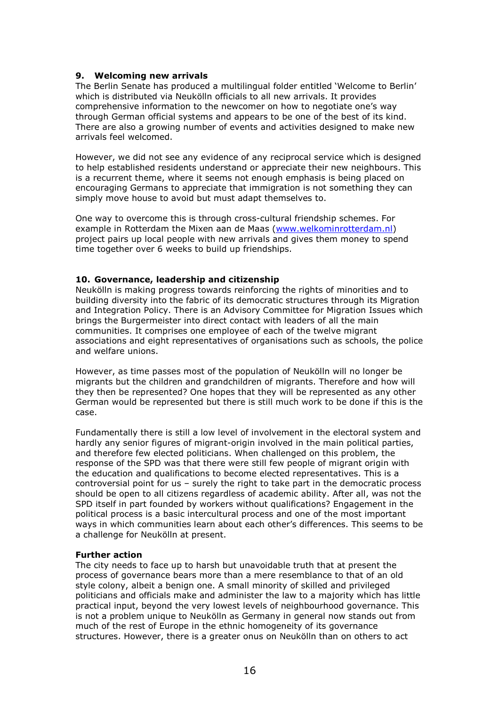#### 9. Welcoming new arrivals

The Berlin Senate has produced a multilingual folder entitled 'Welcome to Berlin' which is distributed via Neukölln officials to all new arrivals. It provides comprehensive information to the newcomer on how to negotiate one's way through German official systems and appears to be one of the best of its kind. There are also a growing number of events and activities designed to make new arrivals feel welcomed.

However, we did not see any evidence of any reciprocal service which is designed to help established residents understand or appreciate their new neighbours. This is a recurrent theme, where it seems not enough emphasis is being placed on encouraging Germans to appreciate that immigration is not something they can simply move house to avoid but must adapt themselves to.

One way to overcome this is through cross-cultural friendship schemes. For example in Rotterdam the Mixen aan de Maas (www.welkominrotterdam.nl) project pairs up local people with new arrivals and gives them money to spend time together over 6 weeks to build up friendships.

#### 10. Governance, leadership and citizenship

Neukölln is making progress towards reinforcing the rights of minorities and to building diversity into the fabric of its democratic structures through its Migration and Integration Policy. There is an Advisory Committee for Migration Issues which brings the Burgermeister into direct contact with leaders of all the main communities. It comprises one employee of each of the twelve migrant associations and eight representatives of organisations such as schools, the police and welfare unions.

However, as time passes most of the population of Neukölln will no longer be migrants but the children and grandchildren of migrants. Therefore and how will they then be represented? One hopes that they will be represented as any other German would be represented but there is still much work to be done if this is the case.

Fundamentally there is still a low level of involvement in the electoral system and hardly any senior figures of migrant-origin involved in the main political parties, and therefore few elected politicians. When challenged on this problem, the response of the SPD was that there were still few people of migrant origin with the education and qualifications to become elected representatives. This is a controversial point for us – surely the right to take part in the democratic process should be open to all citizens regardless of academic ability. After all, was not the SPD itself in part founded by workers without qualifications? Engagement in the political process is a basic intercultural process and one of the most important ways in which communities learn about each other's differences. This seems to be a challenge for Neukölln at present.

#### Further action

The city needs to face up to harsh but unavoidable truth that at present the process of governance bears more than a mere resemblance to that of an old style colony, albeit a benign one. A small minority of skilled and privileged politicians and officials make and administer the law to a majority which has little practical input, beyond the very lowest levels of neighbourhood governance. This is not a problem unique to Neukölln as Germany in general now stands out from much of the rest of Europe in the ethnic homogeneity of its governance structures. However, there is a greater onus on Neukölln than on others to act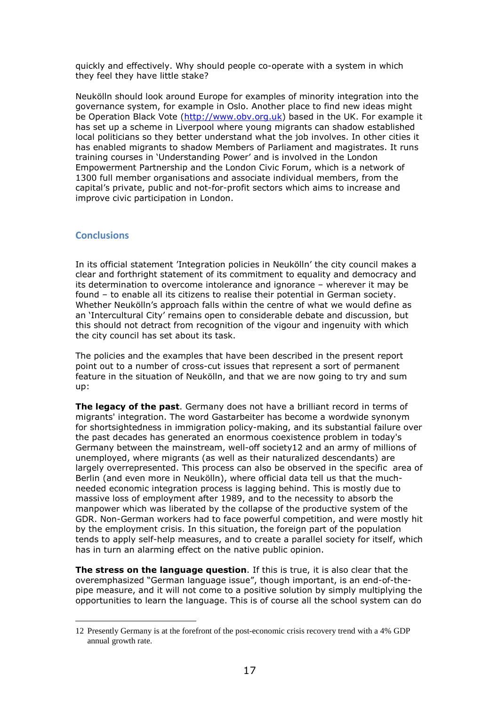quickly and effectively. Why should people co-operate with a system in which they feel they have little stake?

Neukölln should look around Europe for examples of minority integration into the governance system, for example in Oslo. Another place to find new ideas might be Operation Black Vote (http://www.obv.org.uk) based in the UK. For example it has set up a scheme in Liverpool where young migrants can shadow established local politicians so they better understand what the job involves. In other cities it has enabled migrants to shadow Members of Parliament and magistrates. It runs training courses in 'Understanding Power' and is involved in the London Empowerment Partnership and the London Civic Forum, which is a network of 1300 full member organisations and associate individual members, from the capital's private, public and not-for-profit sectors which aims to increase and improve civic participation in London.

# **Conclusions**

In its official statement 'Integration policies in Neukölln' the city council makes a clear and forthright statement of its commitment to equality and democracy and its determination to overcome intolerance and ignorance – wherever it may be found – to enable all its citizens to realise their potential in German society. Whether Neukölln's approach falls within the centre of what we would define as an 'Intercultural City' remains open to considerable debate and discussion, but this should not detract from recognition of the vigour and ingenuity with which the city council has set about its task.

The policies and the examples that have been described in the present report point out to a number of cross-cut issues that represent a sort of permanent feature in the situation of Neukölln, and that we are now going to try and sum up:

The legacy of the past. Germany does not have a brilliant record in terms of migrants' integration. The word Gastarbeiter has become a wordwide synonym for shortsightedness in immigration policy-making, and its substantial failure over the past decades has generated an enormous coexistence problem in today's Germany between the mainstream, well-off society12 and an army of millions of unemployed, where migrants (as well as their naturalized descendants) are largely overrepresented. This process can also be observed in the specific area of Berlin (and even more in Neukölln), where official data tell us that the muchneeded economic integration process is lagging behind. This is mostly due to massive loss of employment after 1989, and to the necessity to absorb the manpower which was liberated by the collapse of the productive system of the GDR. Non-German workers had to face powerful competition, and were mostly hit by the employment crisis. In this situation, the foreign part of the population tends to apply self-help measures, and to create a parallel society for itself, which has in turn an alarming effect on the native public opinion.

**The stress on the language question.** If this is true, it is also clear that the overemphasized "German language issue", though important, is an end-of-thepipe measure, and it will not come to a positive solution by simply multiplying the opportunities to learn the language. This is of course all the school system can do

 $\overline{a}$ 12 Presently Germany is at the forefront of the post-economic crisis recovery trend with a 4% GDP annual growth rate.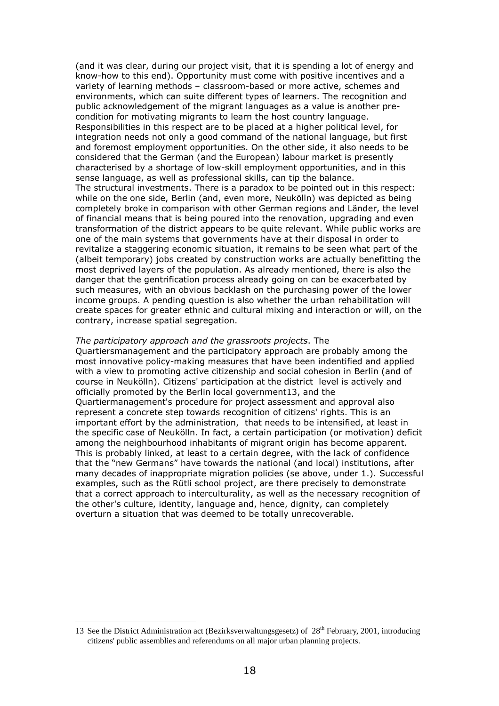(and it was clear, during our project visit, that it is spending a lot of energy and know-how to this end). Opportunity must come with positive incentives and a variety of learning methods – classroom-based or more active, schemes and environments, which can suite different types of learners. The recognition and public acknowledgement of the migrant languages as a value is another precondition for motivating migrants to learn the host country language. Responsibilities in this respect are to be placed at a higher political level, for integration needs not only a good command of the national language, but first and foremost employment opportunities. On the other side, it also needs to be considered that the German (and the European) labour market is presently characterised by a shortage of low-skill employment opportunities, and in this sense language, as well as professional skills, can tip the balance. The structural investments. There is a paradox to be pointed out in this respect: while on the one side, Berlin (and, even more, Neukölln) was depicted as being completely broke in comparison with other German regions and Länder, the level of financial means that is being poured into the renovation, upgrading and even transformation of the district appears to be quite relevant. While public works are one of the main systems that governments have at their disposal in order to revitalize a staggering economic situation, it remains to be seen what part of the (albeit temporary) jobs created by construction works are actually benefitting the most deprived layers of the population. As already mentioned, there is also the danger that the gentrification process already going on can be exacerbated by such measures, with an obvious backlash on the purchasing power of the lower income groups. A pending question is also whether the urban rehabilitation will create spaces for greater ethnic and cultural mixing and interaction or will, on the contrary, increase spatial segregation.

#### The participatory approach and the grassroots projects. The

Quartiersmanagement and the participatory approach are probably among the most innovative policy-making measures that have been indentified and applied with a view to promoting active citizenship and social cohesion in Berlin (and of course in Neukölln). Citizens' participation at the district level is actively and officially promoted by the Berlin local government13, and the Quartiermanagement's procedure for project assessment and approval also represent a concrete step towards recognition of citizens' rights. This is an important effort by the administration, that needs to be intensified, at least in the specific case of Neukölln. In fact, a certain participation (or motivation) deficit among the neighbourhood inhabitants of migrant origin has become apparent. This is probably linked, at least to a certain degree, with the lack of confidence that the "new Germans" have towards the national (and local) institutions, after many decades of inappropriate migration policies (se above, under 1.). Successful examples, such as the Rütli school project, are there precisely to demonstrate that a correct approach to interculturality, as well as the necessary recognition of the other's culture, identity, language and, hence, dignity, can completely overturn a situation that was deemed to be totally unrecoverable.

<sup>13</sup> See the District Administration act (Bezirksverwaltungsgesetz) of  $28<sup>th</sup>$  February, 2001, introducing citizens' public assemblies and referendums on all major urban planning projects.